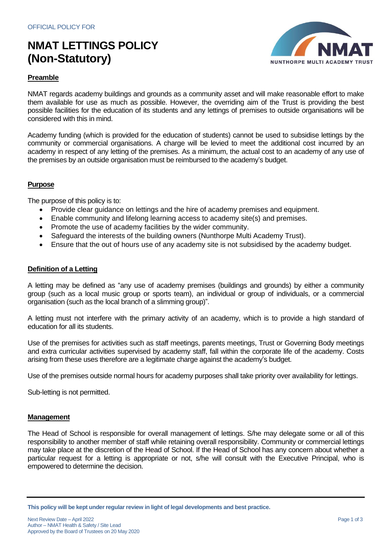# **NMAT LETTINGS POLICY (Non-Statutory)**



## **Preamble**

NMAT regards academy buildings and grounds as a community asset and will make reasonable effort to make them available for use as much as possible. However, the overriding aim of the Trust is providing the best possible facilities for the education of its students and any lettings of premises to outside organisations will be considered with this in mind.

Academy funding (which is provided for the education of students) cannot be used to subsidise lettings by the community or commercial organisations. A charge will be levied to meet the additional cost incurred by an academy in respect of any letting of the premises. As a minimum, the actual cost to an academy of any use of the premises by an outside organisation must be reimbursed to the academy's budget.

### **Purpose**

The purpose of this policy is to:

- Provide clear guidance on lettings and the hire of academy premises and equipment.
- Enable community and lifelong learning access to academy site(s) and premises.
- Promote the use of academy facilities by the wider community.
- Safeguard the interests of the building owners (Nunthorpe Multi Academy Trust).
- Ensure that the out of hours use of any academy site is not subsidised by the academy budget.

#### **Definition of a Letting**

A letting may be defined as "any use of academy premises (buildings and grounds) by either a community group (such as a local music group or sports team), an individual or group of individuals, or a commercial organisation (such as the local branch of a slimming group)".

A letting must not interfere with the primary activity of an academy, which is to provide a high standard of education for all its students.

Use of the premises for activities such as staff meetings, parents meetings, Trust or Governing Body meetings and extra curricular activities supervised by academy staff, fall within the corporate life of the academy. Costs arising from these uses therefore are a legitimate charge against the academy's budget.

Use of the premises outside normal hours for academy purposes shall take priority over availability for lettings.

Sub-letting is not permitted.

#### **Management**

The Head of School is responsible for overall management of lettings. S/he may delegate some or all of this responsibility to another member of staff while retaining overall responsibility. Community or commercial lettings may take place at the discretion of the Head of School. If the Head of School has any concern about whether a particular request for a letting is appropriate or not, s/he will consult with the Executive Principal, who is empowered to determine the decision.

**This policy will be kept under regular review in light of legal developments and best practice.**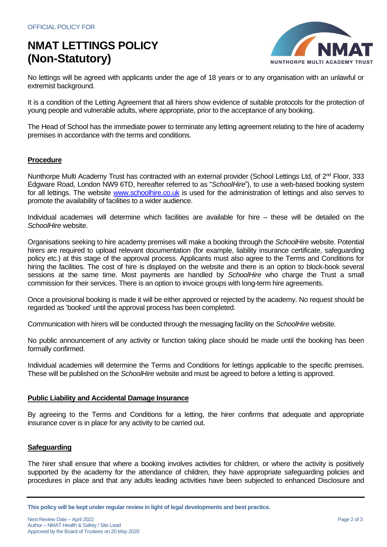## **NMAT LETTINGS POLICY (Non-Statutory)**



No lettings will be agreed with applicants under the age of 18 years or to any organisation with an unlawful or extremist background.

It is a condition of the Letting Agreement that all hirers show evidence of suitable protocols for the protection of young people and vulnerable adults, where appropriate, prior to the acceptance of any booking.

The Head of School has the immediate power to terminate any letting agreement relating to the hire of academy premises in accordance with the terms and conditions.

### **Procedure**

Nunthorpe Multi Academy Trust has contracted with an external provider (School Lettings Ltd, of 2<sup>nd</sup> Floor, 333 Edgware Road, London NW9 6TD, hereafter referred to as "*SchoolHire*"), to use a web-based booking system for all lettings. The website [www.schoolhire.co.uk](http://www.schoolhire.co.uk/) is used for the administration of lettings and also serves to promote the availability of facilities to a wider audience.

Individual academies will determine which facilities are available for hire – these will be detailed on the *SchoolHire* website.

Organisations seeking to hire academy premises will make a booking through the *SchoolHire* website. Potential hirers are required to upload relevant documentation (for example, liability insurance certificate, safeguarding policy etc.) at this stage of the approval process. Applicants must also agree to the Terms and Conditions for hiring the facilities. The cost of hire is displayed on the website and there is an option to block-book several sessions at the same time. Most payments are handled by *SchoolHire* who charge the Trust a small commission for their services. There is an option to invoice groups with long-term hire agreements.

Once a provisional booking is made it will be either approved or rejected by the academy. No request should be regarded as 'booked' until the approval process has been completed.

Communication with hirers will be conducted through the messaging facility on the *SchoolHire* website.

No public announcement of any activity or function taking place should be made until the booking has been formally confirmed.

Individual academies will determine the Terms and Conditions for lettings applicable to the specific premises. These will be published on the *SchoolHire* website and must be agreed to before a letting is approved.

#### **Public Liability and Accidental Damage Insurance**

By agreeing to the Terms and Conditions for a letting, the hirer confirms that adequate and appropriate insurance cover is in place for any activity to be carried out.

### **Safeguarding**

The hirer shall ensure that where a booking involves activities for children, or where the activity is positively supported by the academy for the attendance of children, they have appropriate safeguarding policies and procedures in place and that any adults leading activities have been subjected to enhanced Disclosure and

**This policy will be kept under regular review in light of legal developments and best practice.**